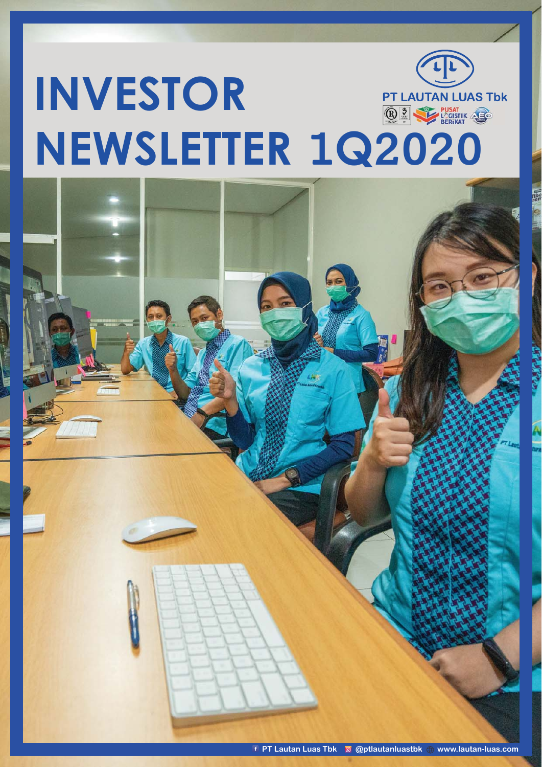# **INVESTOR PT LAUTAN LUAS Tbk O & PUSAT**<br>BERIKAT **NEWSLETTER 1Q2020**

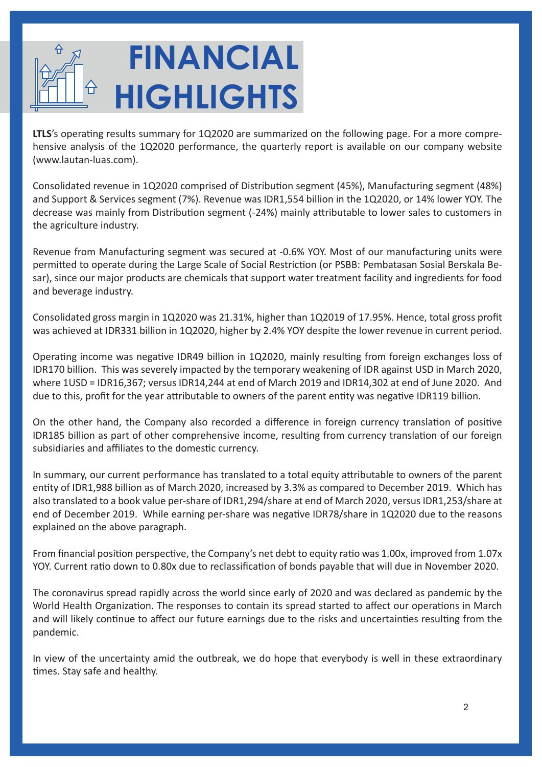# **FINANCIAL HIGHLIGHTS**

LTLS's operating results summary for 1Q2020 are summarized on the following page. For a more comprehensive analysis of the 1Q2020 performance, the quarterly report is available on our company website (www.lautan-luas.com).

Consolidated revenue in 1Q2020 comprised of Distribution segment (45%), Manufacturing segment (48%) and Support & Services segment (7%). Revenue was IDR1,554 billion in the 1Q2020, or 14% lower YOY. The decrease was mainly from Distribution segment (-24%) mainly attributable to lower sales to customers in the agriculture industry.

Revenue from Manufacturing segment was secured at -0.6% YOY. Most of our manufacturing units were permitted to operate during the Large Scale of Social Restriction (or PSBB: Pembatasan Sosial Berskala Besar), since our major products are chemicals that support water treatment facility and ingredients for food and beverage industry.

Consolidated gross margin in 1Q2020 was 21.31%, higher than 1Q2019 of 17.95%. Hence, total gross profit was achieved at IDR331 billion in 1Q2020, higher by 2.4% YOY despite the lower revenue in current period.

Operating income was negative IDR49 billion in 1Q2020, mainly resulting from foreign exchanges loss of IDR170 billion. This was severely impacted by the temporary weakening of IDR against USD in March 2020, where 1USD = IDR16,367; versus IDR14,244 at end of March 2019 and IDR14,302 at end of June 2020. And due to this, profit for the year attributable to owners of the parent entity was negative IDR119 billion.

On the other hand, the Company also recorded a difference in foreign currency translation of positive IDR185 billion as part of other comprehensive income, resulting from currency translation of our foreign subsidiaries and affiliates to the domestic currency.

In summary, our current performance has translated to a total equity attributable to owners of the parent entity of IDR1,988 billion as of March 2020, increased by 3.3% as compared to December 2019. Which has also translated to a book value per-share of IDR1,294/share at end of March 2020, versus IDR1,253/share at end of December 2019. While earning per-share was negative IDR78/share in 1Q2020 due to the reasons explained on the above paragraph.

From financial position perspective, the Company's net debt to equity ratio was 1.00x, improved from 1.07x YOY. Current ratio down to 0.80x due to reclassification of bonds payable that will due in November 2020.

The coronavirus spread rapidly across the world since early of 2020 and was declared as pandemic by the World Health Organization. The responses to contain its spread started to affect our operations in March and will likely continue to affect our future earnings due to the risks and uncertainties resulting from the pandemic.

In view of the uncertainty amid the outbreak, we do hope that everybody is well in these extraordinary times. Stay safe and healthy.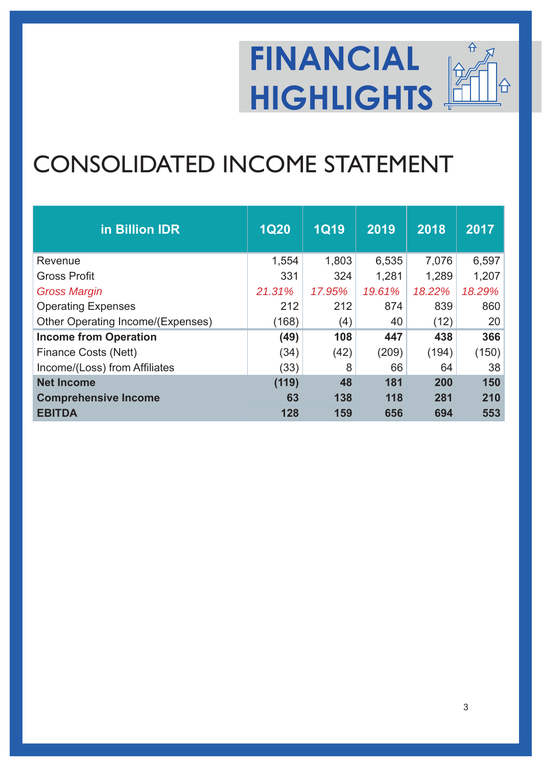#### **FINANCIAL** 슈 **HIGHLIGHTS**

### CONSOLIDATED INCOME STATEMENT

| in Billion IDR                    | <b>1Q20</b> | <b>1Q19</b> | 2019   | 2018   | 2017   |
|-----------------------------------|-------------|-------------|--------|--------|--------|
| Revenue                           | 1,554       | 1,803       | 6,535  | 7,076  | 6,597  |
| <b>Gross Profit</b>               | 331         | 324         | 1,281  | 1,289  | 1,207  |
| <b>Gross Margin</b>               | 21.31%      | 17.95%      | 19.61% | 18.22% | 18.29% |
| <b>Operating Expenses</b>         | 212         | 212         | 874    | 839    | 860    |
| Other Operating Income/(Expenses) | (168)       | (4)         | 40     | (12)   | 20     |
| <b>Income from Operation</b>      | (49)        | 108         | 447    | 438    | 366    |
| <b>Finance Costs (Nett)</b>       | (34)        | (42)        | (209)  | (194)  | (150)  |
| Income/(Loss) from Affiliates     | (33)        | 8           | 66     | 64     | 38     |
| <b>Net Income</b>                 | (119)       | 48          | 181    | 200    | 150    |
| <b>Comprehensive Income</b>       | 63          | 138         | 118    | 281    | 210    |
| <b>EBITDA</b>                     | 128         | 159         | 656    | 694    | 553    |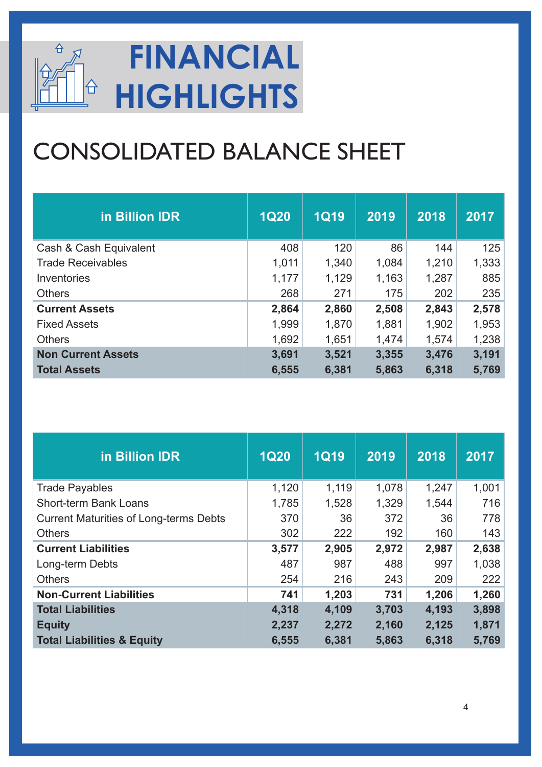

## CONSOLIDATED BALANCE SHEET

| in Billion IDR            | <b>1Q20</b> | $1Q$ $19$ | 2019  | 2018  | 2017  |
|---------------------------|-------------|-----------|-------|-------|-------|
| Cash & Cash Equivalent    | 408         | 120       | 86    | 144   | 125   |
| <b>Trade Receivables</b>  | 1,011       | 1,340     | 1,084 | 1,210 | 1,333 |
| Inventories               | 1,177       | 1,129     | 1,163 | 1,287 | 885   |
| <b>Others</b>             | 268         | 271       | 175   | 202   | 235   |
| <b>Current Assets</b>     | 2,864       | 2,860     | 2,508 | 2,843 | 2,578 |
| <b>Fixed Assets</b>       | 1,999       | 1,870     | 1,881 | 1,902 | 1,953 |
| <b>Others</b>             | 1,692       | 1,651     | 1,474 | 1,574 | 1,238 |
| <b>Non Current Assets</b> | 3,691       | 3,521     | 3,355 | 3,476 | 3,191 |
| <b>Total Assets</b>       | 6,555       | 6,381     | 5,863 | 6,318 | 5,769 |

| in Billion IDR                                | <b>1Q20</b> | $1$ Q19 | 2019  | 2018  | 2017  |
|-----------------------------------------------|-------------|---------|-------|-------|-------|
| <b>Trade Payables</b>                         | 1,120       | 1,119   | 1,078 | 1,247 | 1,001 |
| <b>Short-term Bank Loans</b>                  | 1,785       | 1,528   | 1,329 | 1,544 | 716   |
| <b>Current Maturities of Long-terms Debts</b> | 370         | 36      | 372   | 36    | 778   |
| <b>Others</b>                                 | 302         | 222     | 192   | 160   | 143   |
| <b>Current Liabilities</b>                    | 3,577       | 2,905   | 2,972 | 2,987 | 2,638 |
| Long-term Debts                               | 487         | 987     | 488   | 997   | 1,038 |
| <b>Others</b>                                 | 254         | 216     | 243   | 209   | 222   |
| <b>Non-Current Liabilities</b>                | 741         | 1,203   | 731   | 1,206 | 1,260 |
| <b>Total Liabilities</b>                      | 4,318       | 4,109   | 3,703 | 4,193 | 3,898 |
| <b>Equity</b>                                 | 2,237       | 2,272   | 2,160 | 2,125 | 1,871 |
| <b>Total Liabilities &amp; Equity</b>         | 6,555       | 6,381   | 5,863 | 6,318 | 5,769 |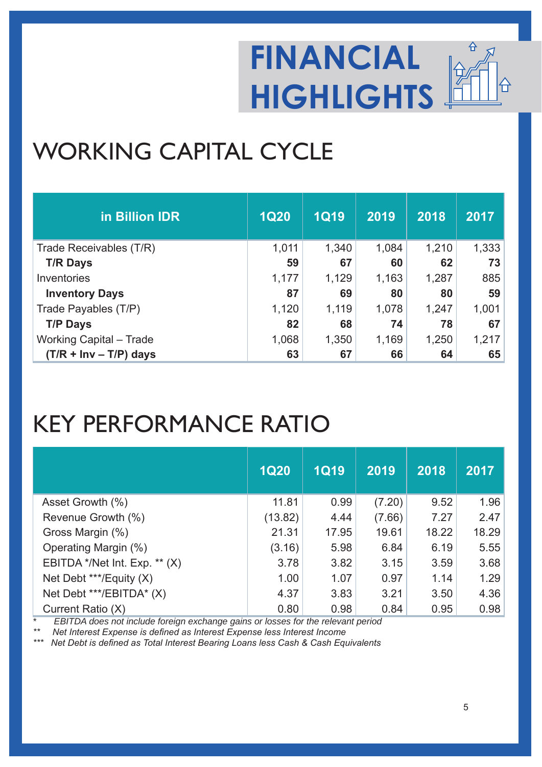

### WORKING CAPITAL CYCLE

| in Billion IDR                 | <b>1Q20</b> | <b>1Q19</b> | 2019  | 2018  | 2017  |
|--------------------------------|-------------|-------------|-------|-------|-------|
| Trade Receivables (T/R)        | 1,011       | 1,340       | 1,084 | 1,210 | 1,333 |
| <b>T/R Days</b>                | 59          | 67          | 60    | 62    | 73    |
| Inventories                    | 1,177       | 1,129       | 1,163 | 1,287 | 885   |
| <b>Inventory Days</b>          | 87          | 69          | 80    | 80    | 59    |
| Trade Payables (T/P)           | 1,120       | 1,119       | 1,078 | 1,247 | 1,001 |
| <b>T/P Days</b>                | 82          | 68          | 74    | 78    | 67    |
| <b>Working Capital - Trade</b> | 1,068       | 1,350       | 1,169 | 1,250 | 1,217 |
| $(T/R + Inv - T/P)$ days       | 63          | 67          | 66    | 64    | 65    |

#### KEY PERFORMANCE RATIO

|                               | <b>1Q20</b> | <b>1Q19</b> | 2019   | 2018  | 2017  |
|-------------------------------|-------------|-------------|--------|-------|-------|
| Asset Growth (%)              | 11.81       | 0.99        | (7.20) | 9.52  | 1.96  |
| Revenue Growth (%)            | (13.82)     | 4.44        | (7.66) | 7.27  | 2.47  |
| Gross Margin (%)              | 21.31       | 17.95       | 19.61  | 18.22 | 18.29 |
| Operating Margin (%)          | (3.16)      | 5.98        | 6.84   | 6.19  | 5.55  |
| EBITDA */Net Int. Exp. ** (X) | 3.78        | 3.82        | 3.15   | 3.59  | 3.68  |
| Net Debt ***/Equity (X)       | 1.00        | 1.07        | 0.97   | 1.14  | 1.29  |
| Net Debt ***/EBITDA* (X)      | 4.37        | 3.83        | 3.21   | 3.50  | 4.36  |
| Current Ratio (X)             | 0.80        | 0.98        | 0.84   | 0.95  | 0.98  |

*\* EBITDA does not include foreign exchange gains or losses for the relevant period*

<sup>\*\*</sup> Net Interest Expense is defined as Interest Expense less Interest Income

Net Debt is defined as Total Interest Bearing Loans less Cash & Cash Equivalents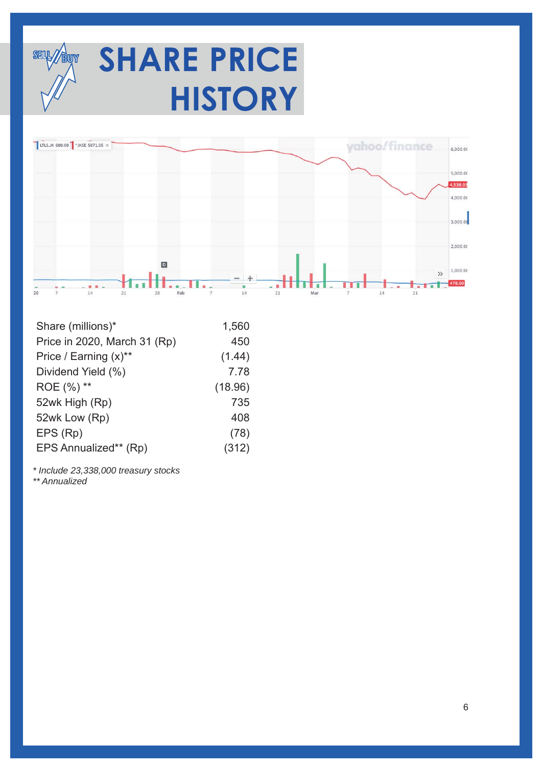

# **SHARE PRICE HISTORY**



| Share (millions)*            | 1,560   |
|------------------------------|---------|
| Price in 2020, March 31 (Rp) | 450     |
| Price / Earning (x)**        | (1.44)  |
| Dividend Yield (%)           | 7.78    |
| ROE (%) **                   | (18.96) |
| 52wk High (Rp)               | 735     |
| 52wk Low (Rp)                | 408     |
| EPS (Rp)                     | (78)    |
| EPS Annualized** (Rp)        | (312)   |

*\* Include 23,338,000 treasury stocks* 

*\*\* Annualized*